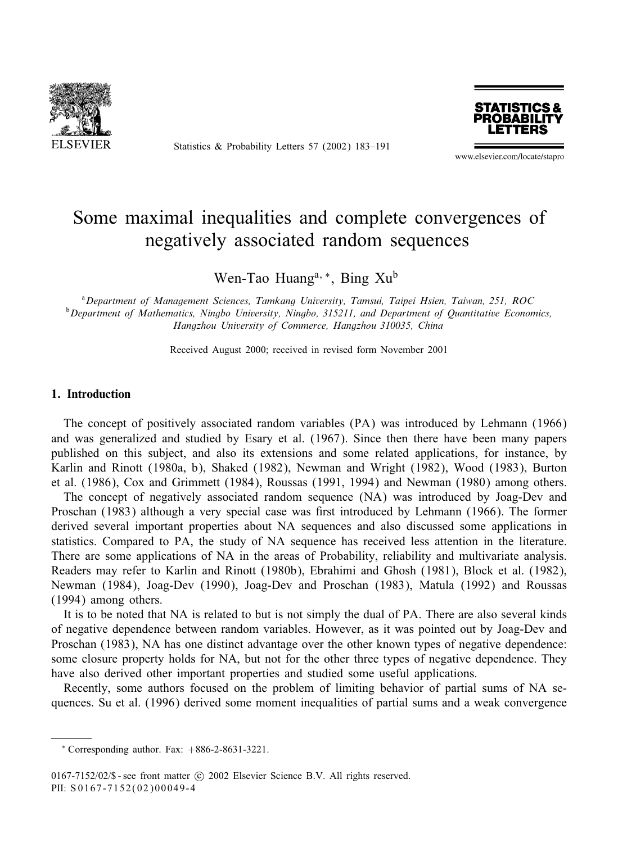

Statistics & Probability Letters 57 (2002) 183–191



www.elsevier.com/locate/stapro

# Some maximal inequalities and complete convergences of negatively associated random sequences

Wen-Tao Huang<sup>a,</sup> <sup>∗</sup>, Bing Xu<sup>b</sup>

a *Department of Management Sciences, Tamkang University, Tamsui, Taipei Hsien, Taiwan, 251, ROC* b *Department of Mathematics, Ningbo University, Ningbo, 315211, and Department of Quantitative Economics, Hangzhou University of Commerce, Hangzhou 310035, China*

Received August 2000; received in revised form November 2001

#### 1. Introduction

The concept of positively associated random variables (PA) was introduced by Lehmann (1966) and was generalized and studied by Esary et al. (1967). Since then there have been many papers published on this subject, and also its extensions and some related applications, for instance, by Karlin and Rinott (1980a, b), Shaked (1982), Newman and Wright (1982), Wood (1983), Burton et al.  $(1986)$ , Cox and Grimmett  $(1984)$ , Roussas  $(1991, 1994)$  and Newman  $(1980)$  among others.

The concept of negatively associated random sequence (NA) was introduced by Joag-Dev and Proschan (1983) although a very special case was first introduced by Lehmann (1966). The former derived several important properties about NA sequences and also discussed some applications in statistics. Compared to PA, the study of NA sequence has received less attention in the literature. There are some applications of NA in the areas of Probability, reliability and multivariate analysis. Readers may refer to Karlin and Rinott (1980b), Ebrahimi and Ghosh (1981), Block et al. (1982), Newman (1984), Joag-Dev (1990), Joag-Dev and Proschan (1983), Matula (1992) and Roussas (1994) among others.

It is to be noted that NA is related to but is not simply the dual of PA. There are also several kinds of negative dependence between random variables. However, as it was pointed out by Joag-Dev and Proschan (1983), NA has one distinct advantage over the other known types of negative dependence: some closure property holds for NA, but not for the other three types of negative dependence. They have also derived other important properties and studied some useful applications.

Recently, some authors focused on the problem of limiting behavior of partial sums of NA sequences. Su et al. (1996) derived some moment inequalities of partial sums and a weak convergence

 $*$  Corresponding author. Fax:  $+886-2-8631-3221$ .

 $0167-7152/02$ /\$ - see front matter  $\odot$  2002 Elsevier Science B.V. All rights reserved. PII: S 0167-7152(02)00049-4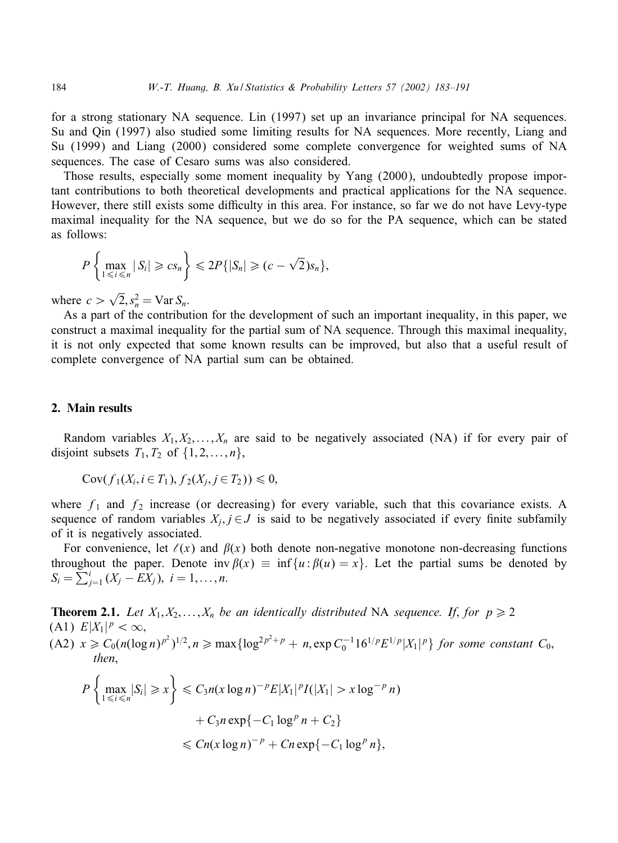for a strong stationary NA sequence. Lin (1997) set up an invariance principal for NA sequences. Su and Qin (1997) also studied some limiting results for NA sequences. More recently, Liang and Su (1999) and Liang (2000) considered some complete convergence for weighted sums of NA sequences. The case of Cesaro sums was also considered.

Those results, especially some moment inequality by Yang (2000), undoubtedly propose important contributions to both theoretical developments and practical applications for the NA sequence. However, there still exists some difficulty in this area. For instance, so far we do not have Levy-type maximal inequality for the NA sequence, but we do so for the PA sequence, which can be stated as follows:

$$
P\left\{\max_{1\leq i\leq n}|S_i|\geq c s_n\right\}\leq 2P\{|S_n|\geq (c-\sqrt{2})s_n\},\
$$

where  $c > \sqrt{2}, s_n^2 = \text{Var } S_n$ .

As a part of the contribution for the development of such an important inequality, in this paper, we construct a maximal inequality for the partial sum of NA sequence. Through this maximal inequality, it is not only expected that some known results can be improved, but also that a useful result of complete convergence of NA partial sum can be obtained.

# 2. Main results

Random variables  $X_1, X_2, \ldots, X_n$  are said to be negatively associated (NA) if for every pair of disjoint subsets  $T_1, T_2$  of  $\{1, 2, \ldots, n\}$ ,

$$
Cov(f_1(X_i, i \in T_1), f_2(X_j, j \in T_2)) \leq 0,
$$

where  $f_1$  and  $f_2$  increase (or decreasing) for every variable, such that this covariance exists. A sequence of random variables  $X_i, j \in J$  is said to be negatively associated if every finite subfamily of it is negatively associated.

For convenience, let  $\ell(x)$  and  $\beta(x)$  both denote non-negative monotone non-decreasing functions throughout the paper. Denote inv  $\beta(x) \equiv \inf \{u : \beta(u) = x\}$ . Let the partial sums be denoted by  $S_i = \sum_{j=1}^i (X_j - \overline{E X_j}), i = 1, \ldots, n.$ 

**Theorem 2.1.** Let  $X_1, X_2, \ldots, X_n$  be an identically distributed NA sequence. If, for  $p \ge 2$ (A1)  $E|X_1|^p < \infty$ ,  $(A2)$   $x \ge C_0(n(\log n)^{p^2})^{1/2}, n \ge \max{\log^{2p^2+p} + n, \exp C_0^{-1}16^{1/p}E^{1/p}|X_1|^p}$  *for some constant*  $C_0$ , *then*,

$$
P\left\{\max_{1\leq i\leq n}|S_i|\geq x\right\}\leq C_3n(x\log n)^{-p}E|X_1|^pI(|X_1|>x\log^{-p}n)
$$

$$
+C_3n\exp\{-C_1\log^pn+C_2\}
$$

$$
\leq Cn(x\log n)^{-p}+Cn\exp\{-C_1\log^pn\},
$$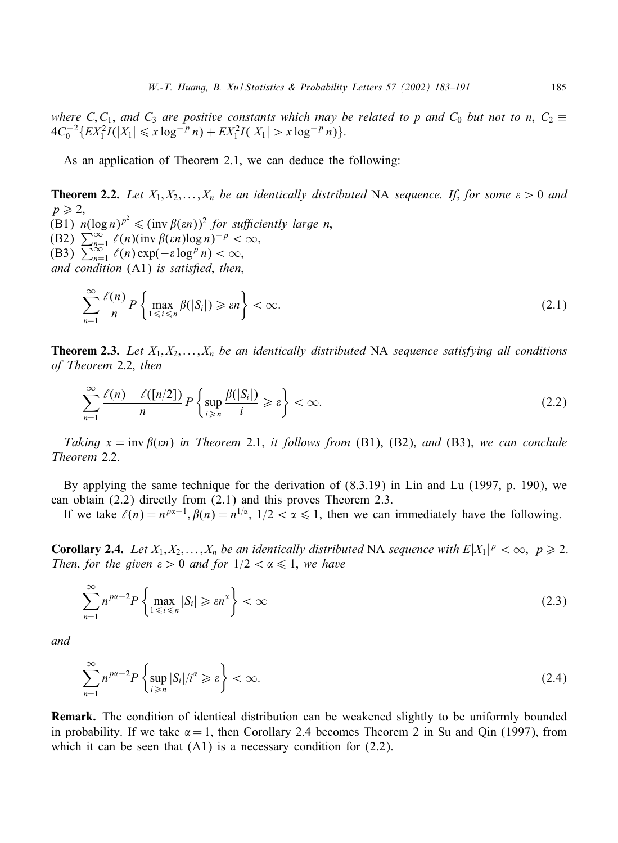*where* C, C<sub>1</sub>, and C<sub>3</sub> are positive constants which may be related to p and C<sub>0</sub> but not to n, C<sub>2</sub>  $\equiv$  $4C_0^{-2}\left\{EX_1^2I(|X_1|\leq x\log^{-p} n)+EX_1^2I(|X_1|>x\log^{-p} n)\right\}.$ 

As an application of Theorem 2.1, we can deduce the following:

**Theorem 2.2.** Let  $X_1, X_2, \ldots, X_n$  be an identically distributed NA sequence. If, for some  $\varepsilon > 0$  and  $p \geqslant 2$ (B1)  $n(\log n)^{p^2} \leq (\text{inv }\beta(\varepsilon n))^2$  *for sufficiently large n*, (B2)  $\sum_{n=1}^{\infty} \ell(n)$ (inv $\beta(\varepsilon n) \log n$ )<sup>-p</sup> <  $\infty$ , (B3)  $\sum_{n=1}^{\infty} \ell(n) \exp(-\varepsilon \log^p n) < \infty$ , *and condition* (A1) *is satisfied, then,* 

$$
\sum_{n=1}^{\infty} \frac{\ell(n)}{n} P\left\{\max_{1 \leq i \leq n} \beta(|S_i|) \geq \varepsilon n\right\} < \infty.
$$
\n(2.1)

**Theorem 2.3.** Let  $X_1, X_2, \ldots, X_n$  be an identically distributed NA sequence satisfying all conditions *of Theorem* 2:2; *then*

$$
\sum_{n=1}^{\infty} \frac{\ell(n) - \ell([n/2])}{n} P\left\{\sup_{i \geq n} \frac{\beta(|S_i|)}{i} \geq \varepsilon\right\} < \infty.
$$
 (2.2)

*Taking*  $x = inv \beta(\epsilon n)$  *in Theorem* 2.1, *it follows from* (B1), (B2), *and* (B3), *we can conclude Theorem* 2:2.

By applying the same technique for the derivation of (8.3.19) in Lin and Lu (1997, p. 190), we can obtain (2.2) directly from (2.1) and this proves Theorem 2.3.

If we take  $\ell(n) = n^{p\alpha-1}, \beta(n) = n^{1/\alpha}, 1/2 < \alpha \le 1$ , then we can immediately have the following.

**Corollary 2.4.** Let  $X_1, X_2, ..., X_n$  be an identically distributed NA sequence with  $E|X_1|^p < \infty$ ,  $p \ge 2$ . *Then, for the given*  $\varepsilon > 0$  *and for*  $1/2 < \alpha \le 1$ *, we have* 

$$
\sum_{n=1}^{\infty} n^{px-2} P\left\{\max_{1 \leq i \leq n} |S_i| \geq \varepsilon n^{\alpha}\right\} < \infty
$$
\n(2.3)

*and*

$$
\sum_{n=1}^{\infty} n^{p\alpha - 2} P\left\{\sup_{i \geq n} |S_i| / i^{\alpha} \geq \varepsilon\right\} < \infty.
$$
\n(2.4)

Remark. The condition of identical distribution can be weakened slightly to be uniformly bounded in probability. If we take  $\alpha = 1$ , then Corollary 2.4 becomes Theorem 2 in Su and Qin (1997), from which it can be seen that  $(A1)$  is a necessary condition for  $(2.2)$ .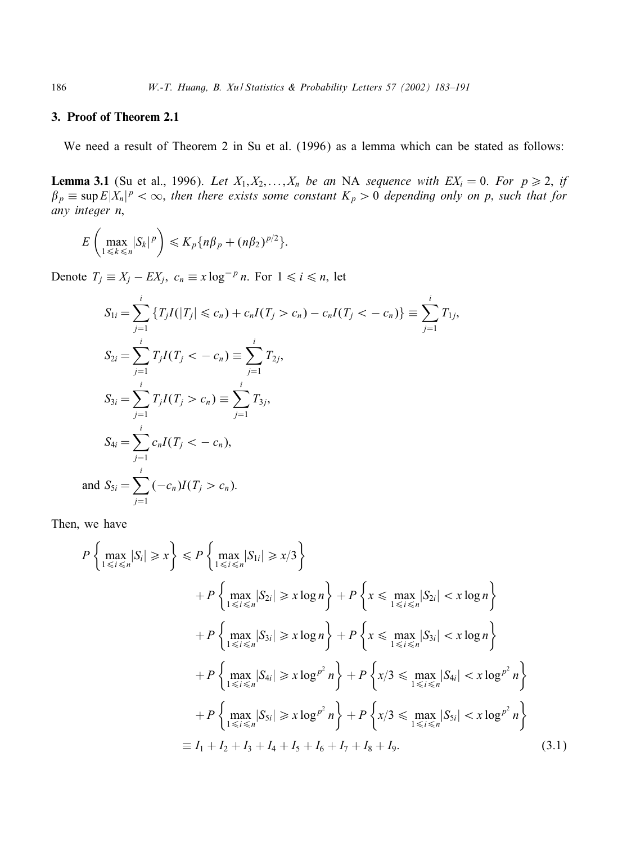# 3. Proof of Theorem 2.1

We need a result of Theorem 2 in Su et al. (1996) as a lemma which can be stated as follows:

**Lemma 3.1** (Su et al., 1996). Let  $X_1, X_2, \ldots, X_n$  be an NA sequence with  $EX_i = 0$ . For  $p \ge 2$ , if  $\beta_p \equiv \sup E|X_n|^p < \infty$ , then there exists some constant  $K_p > 0$  depending only on p, such that for *any integer n*;

$$
E\left(\max_{1\leq k\leq n}|S_k|^p\right)\leqslant K_p\{n\beta_p+(n\beta_2)^{p/2}\}.
$$

Denote  $T_j \equiv X_j - EX_j$ ,  $c_n \equiv x \log^{-p} n$ . For  $1 \le i \le n$ , let

$$
S_{1i} = \sum_{j=1}^{i} \{T_j I(|T_j| \le c_n) + c_n I(T_j > c_n) - c_n I(T_j < -c_n)\} \equiv \sum_{j=1}^{i} T_{1j},
$$
  
\n
$$
S_{2i} = \sum_{j=1}^{i} T_j I(T_j < -c_n) \equiv \sum_{j=1}^{i} T_{2j},
$$
  
\n
$$
S_{3i} = \sum_{j=1}^{i} T_j I(T_j > c_n) \equiv \sum_{j=1}^{i} T_{3j},
$$
  
\n
$$
S_{4i} = \sum_{j=1}^{i} c_n I(T_j < -c_n),
$$
  
\nand 
$$
S_{5i} = \sum_{j=1}^{i} (-c_n) I(T_j > c_n).
$$

Then; we have

$$
P\left\{\max_{1\leq i\leq n}|S_i|\geq x\right\}\leq P\left\{\max_{1\leq i\leq n}|S_{1i}|\geq x/3\right\}
$$
  
+
$$
P\left\{\max_{1\leq i\leq n}|S_{2i}|\geq x\log n\right\}+P\left\{x\leq \max_{1\leq i\leq n}|S_{2i}|< x\log n\right\}
$$
  
+
$$
P\left\{\max_{1\leq i\leq n}|S_{3i}|\geq x\log n\right\}+P\left\{x\leq \max_{1\leq i\leq n}|S_{3i}|< x\log n\right\}
$$
  
+
$$
P\left\{\max_{1\leq i\leq n}|S_{4i}|\geq x\log^{p^2}n\right\}+P\left\{x/3\leq \max_{1\leq i\leq n}|S_{4i}|< x\log^{p^2}n\right\}
$$
  
+
$$
P\left\{\max_{1\leq i\leq n}|S_{5i}|\geq x\log^{p^2}n\right\}+P\left\{x/3\leq \max_{1\leq i\leq n}|S_{5i}|< x\log^{p^2}n\right\}
$$
  

$$
\equiv I_1+I_2+I_3+I_4+I_5+I_6+I_7+I_8+I_9.
$$
 (3.1)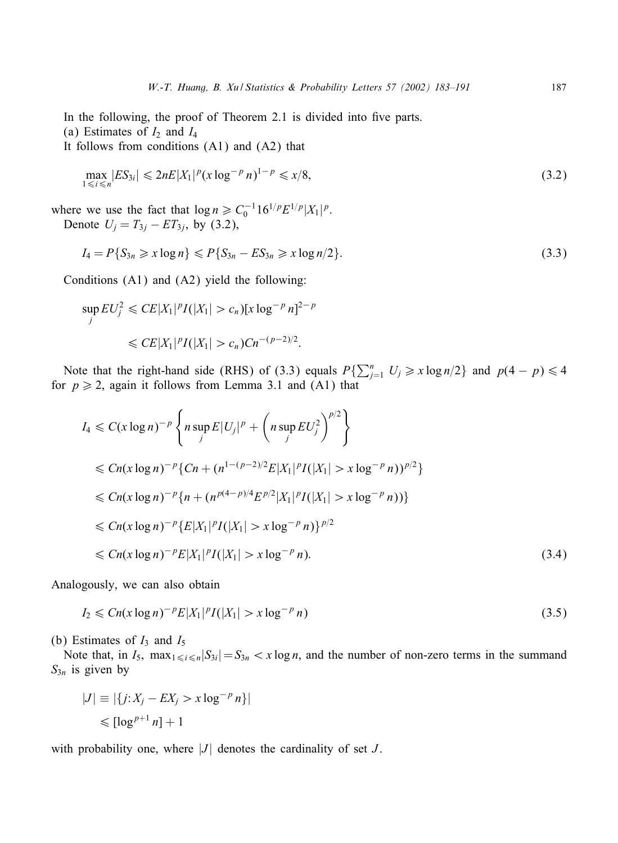In the following, the proof of Theorem 2.1 is divided into five parts.

(a) Estimates of  $I_2$  and  $I_4$ 

It follows from conditions (A1) and (A2) that

$$
\max_{1 \le i \le n} |ES_{3i}| \le 2nE|X_1|^p (x \log^{-p} n)^{1-p} \le x/8,
$$
\n(3.2)

where we use the fact that  $\log n \geq C_0^{-1} 16^{1/p} E^{1/p} |X_1|^p$ . Denote  $U_j = T_{3j} - ET_{3j}$ , by (3.2),

$$
I_4 = P\{S_{3n} \ge x \log n\} \le P\{S_{3n} - ES_{3n} \ge x \log n/2\}.
$$
\n(3.3)

Conditions  $(A1)$  and  $(A2)$  yield the following:

$$
\sup_{j} EU_{j}^{2} \leqslant CE|X_{1}|^{p}I(|X_{1}| > c_{n})[x \log^{-p} n]^{2-p}
$$
  

$$
\leqslant CE|X_{1}|^{p}I(|X_{1}| > c_{n})Cn^{-(p-2)/2}.
$$

Note that the right-hand side (RHS) of (3.3) equals  $P\{\sum_{j=1}^{n} U_j \geq x \log n/2\}$  and  $p(4-p) \leq 4$ for  $p \ge 2$ , again it follows from Lemma 3.1 and (A1) that

$$
I_4 \leq C(x \log n)^{-p} \left\{ n \sup_j E|U_j|^p + \left( n \sup_j EU_j^2 \right)^{p/2} \right\}
$$
  
\n
$$
\leq Cn(x \log n)^{-p} \{Cn + (n^{1-(p-2)/2} E|X_1|^p I(|X_1| > x \log^{-p} n))^{p/2} \}
$$
  
\n
$$
\leq Cn(x \log n)^{-p} \{n + (n^{p(4-p)/4} E^{p/2} |X_1|^p I(|X_1| > x \log^{-p} n)) \}
$$
  
\n
$$
\leq Cn(x \log n)^{-p} \{E|X_1|^p I(|X_1| > x \log^{-p} n) \}^{p/2}
$$
  
\n
$$
\leq Cn(x \log n)^{-p} E|X_1|^p I(|X_1| > x \log^{-p} n).
$$
 (3.4)

Analogously, we can also obtain

$$
I_2 \le Cn(x \log n)^{-p} E|X_1|^p I(|X_1| > x \log^{-p} n)
$$
\n(3.5)

(b) Estimates of  $I_3$  and  $I_5$ 

Note that, in  $I_5$ ,  $\max_{1 \le i \le n} |S_{3i}| = S_{3n} < x \log n$ , and the number of non-zero terms in the summand  $S_{3n}$  is given by

$$
|J| \equiv |\{j:X_j - EX_j > x \log^{-p} n\}|
$$
  
\$\leq \lfloor \log^{p+1} n \rfloor + 1\$

with probability one, where  $|J|$  denotes the cardinality of set  $J$ .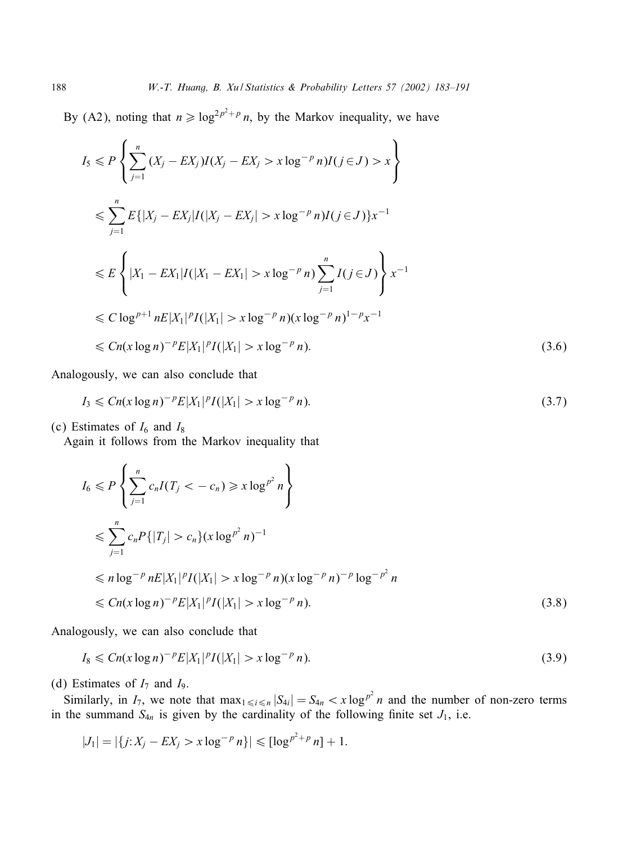By (A2), noting that  $n \geq \log^{2p^2+p} n$ , by the Markov inequality, we have

$$
I_{5} \leq P \left\{ \sum_{j=1}^{n} (X_{j} - EX_{j}) I(X_{j} - EX_{j} > x \log^{-p} n) I(j \in J) > x \right\}
$$
  
\n
$$
\leq \sum_{j=1}^{n} E\{|X_{j} - EX_{j}| I(|X_{j} - EX_{j}| > x \log^{-p} n) I(j \in J)\} x^{-1}
$$
  
\n
$$
\leq E \left\{ |X_{1} - EX_{1}| I(|X_{1} - EX_{1}| > x \log^{-p} n) \sum_{j=1}^{n} I(j \in J) \right\} x^{-1}
$$
  
\n
$$
\leq C \log^{p+1} nE |X_{1}|^{p} I(|X_{1}| > x \log^{-p} n) (x \log^{-p} n)^{1-p} x^{-1}
$$
  
\n
$$
\leq C n(x \log n)^{-p} E |X_{1}|^{p} I(|X_{1}| > x \log^{-p} n).
$$
 (3.6)

Analogously, we can also conclude that

$$
I_3 \leq Cn(x\log n)^{-p}E|X_1|^pI(|X_1| > x\log^{-p} n). \tag{3.7}
$$

(c) Estimates of  $I_6$  and  $I_8$ 

Again it follows from the Markov inequality that

$$
I_6 \leq P \left\{ \sum_{j=1}^n c_n I(T_j < -c_n) \geq x \log^{p^2} n \right\}
$$
\n
$$
\leq \sum_{j=1}^n c_n P\{|T_j| > c_n\} (x \log^{p^2} n)^{-1}
$$
\n
$$
\leq n \log^{-p} n E |X_1|^p I(|X_1| > x \log^{-p} n) (x \log^{-p} n)^{-p} \log^{-p^2} n
$$
\n
$$
\leq C n (x \log n)^{-p} E |X_1|^p I(|X_1| > x \log^{-p} n). \tag{3.8}
$$

Analogously, we can also conclude that

$$
I_8 \le Cn(x \log n)^{-p} E|X_1|^p I(|X_1| > x \log^{-p} n). \tag{3.9}
$$

(d) Estimates of  $I_7$  and  $I_9$ .

Similarly, in  $I_7$ , we note that  $\max_{1 \leq i \leq n} |S_{4i}| = S_{4n} < x \log^{p^2} n$  and the number of non-zero terms in the summand  $S_{4n}$  is given by the cardinality of the following finite set  $J_1$ , i.e.

$$
|J_1| = |\{j:X_j - EX_j > x \log^{-p} n\}| \leqslant [\log^{p^2+p} n] + 1.
$$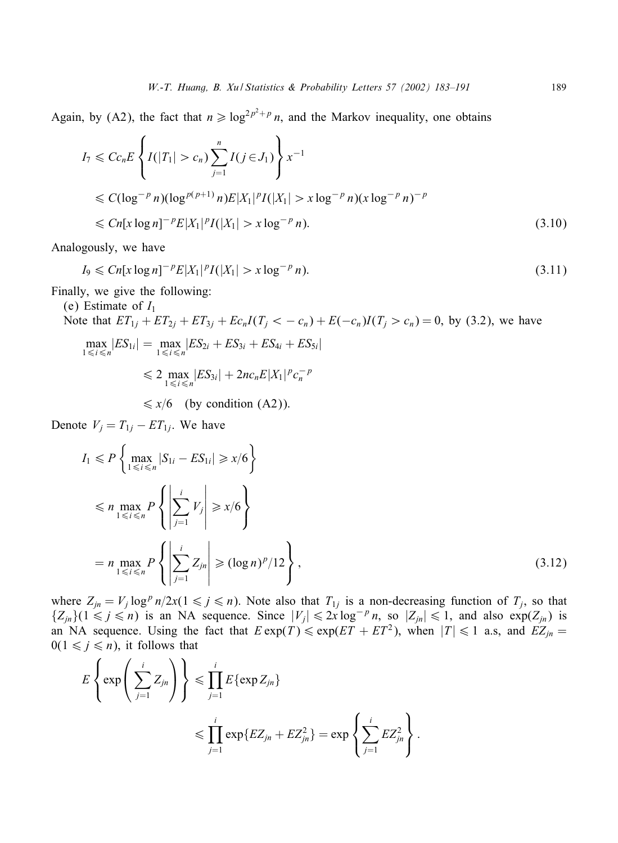Again, by (A2), the fact that  $n \geq \log^{2p^2+p} n$ , and the Markov inequality, one obtains

$$
I_7 \leq Cc_n E \left\{ I(|T_1| > c_n) \sum_{j=1}^n I(j \in J_1) \right\} x^{-1}
$$
  
\n
$$
\leq C(\log^{-p} n) (\log^{p(p+1)} n) E|X_1|^p I(|X_1| > x \log^{-p} n) (x \log^{-p} n)^{-p}
$$
  
\n
$$
\leq Cn[x \log n]^{-p} E|X_1|^p I(|X_1| > x \log^{-p} n).
$$
\n(3.10)

Analogously, we have

$$
I_9 \le Cn[x \log n]^{-p} E|X_1|^p I(|X_1| > x \log^{-p} n). \tag{3.11}
$$

Finally, we give the following:

(e) Estimate of 
$$
I_1
$$
  
\nNote that  $ET_{1j} + ET_{2j} + ET_{3j} + Ec_nI(T_j < -c_n) + E(-c_n)I(T_j > c_n) = 0$ , by (3.2), we have  
\n
$$
\max_{1 \le i \le n} |ES_{1i}| = \max_{1 \le i \le n} |ES_{2i} + ES_{3i} + ES_{4i} + ES_{5i}|
$$
\n
$$
\le 2 \max_{1 \le i \le n} |ES_{3i}| + 2nc_nE|X_1|^p c_n^{-p}
$$

$$
\leq x/6
$$
 (by condition (A2)).

Denote  $V_j = T_{1j} - ET_{1j}$ . We have

$$
I_1 \leq P \left\{ \max_{1 \leq i \leq n} |S_{1i} - ES_{1i}| \geq x/6 \right\}
$$
  
\n
$$
\leq n \max_{1 \leq i \leq n} P \left\{ \left| \sum_{j=1}^i V_j \right| \geq x/6 \right\}
$$
  
\n
$$
= n \max_{1 \leq i \leq n} P \left\{ \left| \sum_{j=1}^i Z_{jn} \right| \geq (\log n)^p / 12 \right\},
$$
\n(3.12)

where  $Z_{jn} = V_j \log^p n/2x(1 \le j \le n)$ . Note also that  $T_{1j}$  is a non-decreasing function of  $T_j$ , so that  $\{Z_{jn}\}(1 \leq j \leq n)$  is an NA sequence. Since  $|V_j| \leq 2x \log^{-p} n$ , so  $|Z_{jn}| \leq 1$ , and also  $\exp(Z_{jn})$  is an NA sequence. Using the fact that  $E \exp(T) \leq \exp(ET + ET^2)$ , when  $|T| \leq 1$  a.s, and  $EZ_{jn} =$  $0(1 \leq j \leq n)$ , it follows that

$$
E\left\{\exp\left(\sum_{j=1}^i Z_{jn}\right)\right\} \leq \prod_{j=1}^i E\{\exp Z_{jn}\}\leq \prod_{j=1}^i E\{\exp Z_{jn}\} = \exp\left\{\sum_{j=1}^i EZ_{jn}^2\right\}.
$$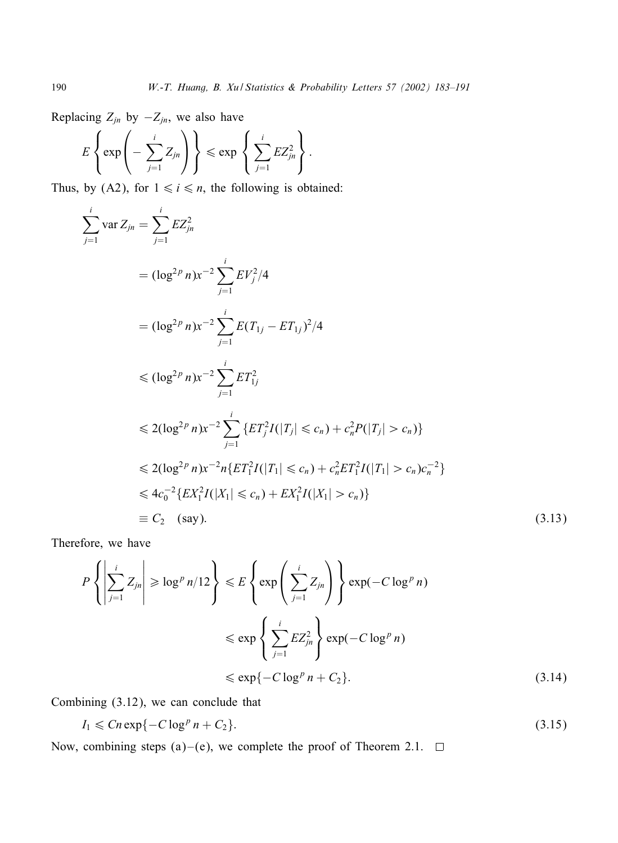Replacing  $Z_{jn}$  by  $-Z_{jn}$ , we also have

$$
E\left\{\exp\left(-\sum_{j=1}^i Z_{jn}\right)\right\} \leqslant \exp\left\{\sum_{j=1}^i EZ_{jn}^2\right\}.
$$

Thus, by (A2), for  $1 \le i \le n$ , the following is obtained:

$$
\sum_{j=1}^{i} \text{var } Z_{jn} = \sum_{j=1}^{i} EZ_{jn}^{2}
$$
\n
$$
= (\log^{2p} n)x^{-2} \sum_{j=1}^{i} EV_{j}^{2}/4
$$
\n
$$
= (\log^{2p} n)x^{-2} \sum_{j=1}^{i} E(T_{1j} - ET_{1j})^{2}/4
$$
\n
$$
\leq (\log^{2p} n)x^{-2} \sum_{j=1}^{i} ET_{1j}^{2}
$$
\n
$$
\leq 2(\log^{2p} n)x^{-2} \sum_{j=1}^{i} \{ET_{j}^{2}I(|T_{j}| \leq c_{n}) + c_{n}^{2}P(|T_{j}| > c_{n})\}
$$
\n
$$
\leq 2(\log^{2p} n)x^{-2} n \{ET_{1}^{2}I(|T_{1}| \leq c_{n}) + c_{n}^{2}ET_{1}^{2}I(|T_{1}| > c_{n})c_{n}^{-2}\}
$$
\n
$$
\leq 4c_{0}^{-2} \{EX_{1}^{2}I(|X_{1}| \leq c_{n}) + EX_{1}^{2}I(|X_{1}| > c_{n})\}
$$
\n
$$
\equiv C_{2} \text{ (say)}.
$$
\n(3.13)

Therefore, we have

$$
P\left\{ \left| \sum_{j=1}^{i} Z_{jn} \right| \ge \log^p n/12 \right\} \le E\left\{ \exp\left( \sum_{j=1}^{i} Z_{jn} \right) \right\} \exp(-C \log^p n)
$$
  

$$
\le \exp\left\{ \sum_{j=1}^{i} E Z_{jn}^2 \right\} \exp(-C \log^p n)
$$
  

$$
\le \exp\{-C \log^p n + C_2\}.
$$
 (3.14)

Combining (3.12), we can conclude that

$$
I_1 \leqslant Cn \exp\{-C \log^p n + C_2\}.\tag{3.15}
$$

Now, combining steps (a)–(e), we complete the proof of Theorem 2.1.  $\Box$